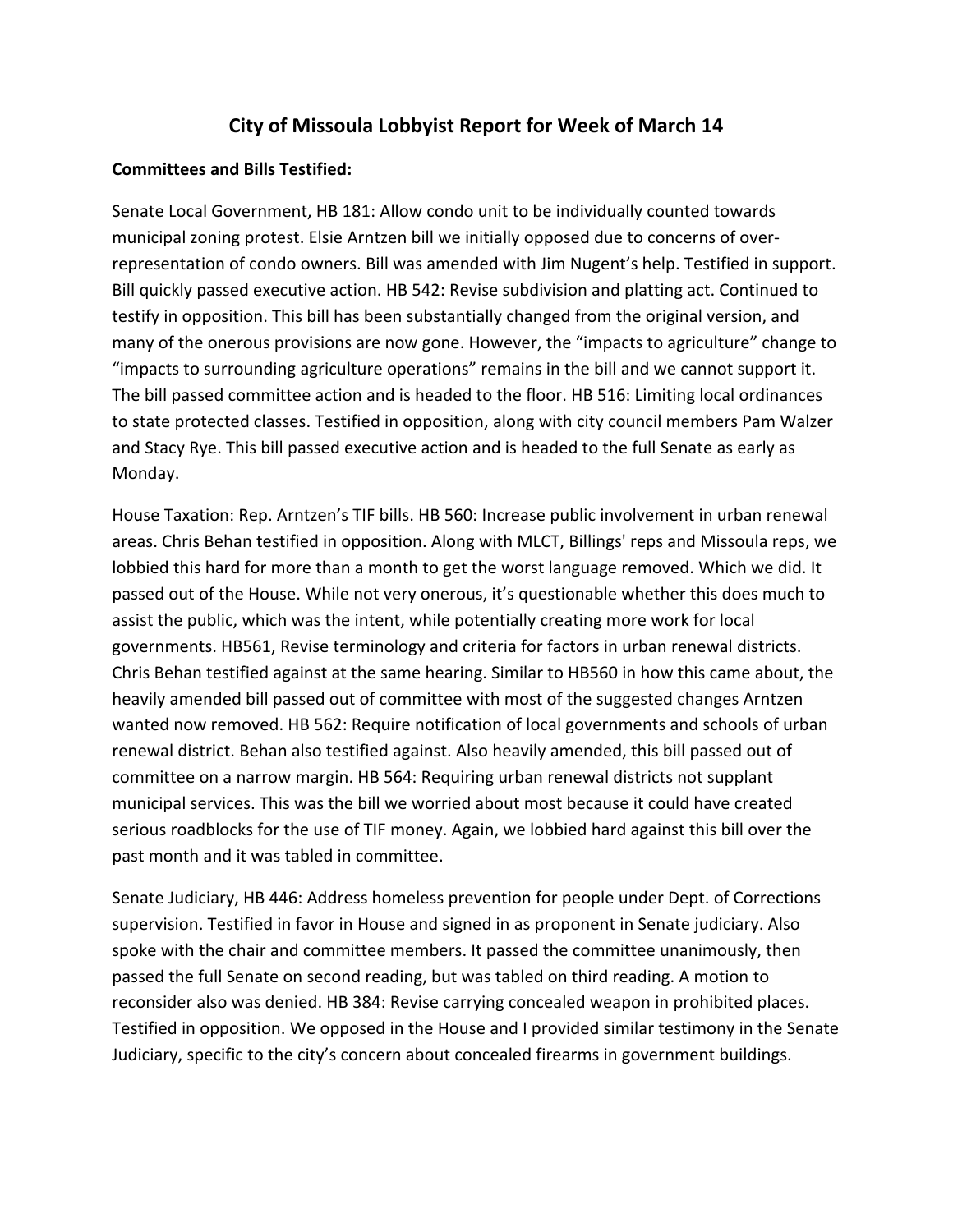## **City of Missoula Lobbyist Report for Week of March 14**

## **Committees and Bills Testified:**

Senate Local Government, HB 181: Allow condo unit to be individually counted towards municipal zoning protest. Elsie Arntzen bill we initially opposed due to concerns of over‐ representation of condo owners. Bill was amended with Jim Nugent's help. Testified in support. Bill quickly passed executive action. HB 542: Revise subdivision and platting act. Continued to testify in opposition. This bill has been substantially changed from the original version, and many of the onerous provisions are now gone. However, the "impacts to agriculture" change to "impacts to surrounding agriculture operations" remains in the bill and we cannot support it. The bill passed committee action and is headed to the floor. HB 516: Limiting local ordinances to state protected classes. Testified in opposition, along with city council members Pam Walzer and Stacy Rye. This bill passed executive action and is headed to the full Senate as early as Monday.

House Taxation: Rep. Arntzen's TIF bills. HB 560: Increase public involvement in urban renewal areas. Chris Behan testified in opposition. Along with MLCT, Billings' reps and Missoula reps, we lobbied this hard for more than a month to get the worst language removed. Which we did. It passed out of the House. While not very onerous, it's questionable whether this does much to assist the public, which was the intent, while potentially creating more work for local governments. HB561, Revise terminology and criteria for factors in urban renewal districts. Chris Behan testified against at the same hearing. Similar to HB560 in how this came about, the heavily amended bill passed out of committee with most of the suggested changes Arntzen wanted now removed. HB 562: Require notification of local governments and schools of urban renewal district. Behan also testified against. Also heavily amended, this bill passed out of committee on a narrow margin. HB 564: Requiring urban renewal districts not supplant municipal services. This was the bill we worried about most because it could have created serious roadblocks for the use of TIF money. Again, we lobbied hard against this bill over the past month and it was tabled in committee.

Senate Judiciary, HB 446: Address homeless prevention for people under Dept. of Corrections supervision. Testified in favor in House and signed in as proponent in Senate judiciary. Also spoke with the chair and committee members. It passed the committee unanimously, then passed the full Senate on second reading, but was tabled on third reading. A motion to reconsider also was denied. HB 384: Revise carrying concealed weapon in prohibited places. Testified in opposition. We opposed in the House and I provided similar testimony in the Senate Judiciary, specific to the city's concern about concealed firearms in government buildings.